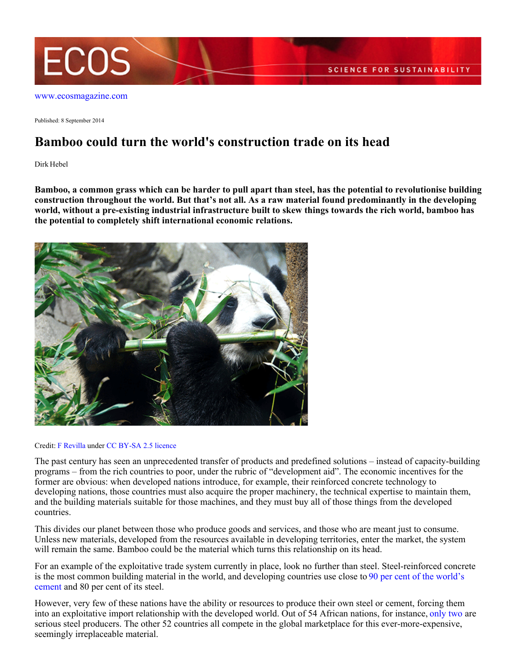

[www.ecosmagazine.com](http://www.ecosmagazine.com)

Published: 8 September 2014

## **Bamboo could turn the world's construction trade on its head**

Dirk Hebel

**Bamboo, a common grass which can be harder to pull apart than steel, has the potential to revolutionise building construction throughout the world. But that's not all. As a raw material found predominantly in the developing world, without a pre-existing industrial infrastructure built to skew things towards the rich world, bamboo has the potential to completely shift international economic relations.**



## Credit: [F Revilla](http://commons.wikimedia.org/wiki/User:Frevilla) under [CC BY-SA 2.5 licence](http://creativecommons.org/licenses/by-sa/2.5/)

The past century has seen an unprecedented transfer of products and predefined solutions – instead of capacity-building programs – from the rich countries to poor, under the rubric of "development aid". The economic incentives for the former are obvious: when developed nations introduce, for example, their reinforced concrete technology to developing nations, those countries must also acquire the proper machinery, the technical expertise to maintain them, and the building materials suitable for those machines, and they must buy all of those things from the developed countries.

This divides our planet between those who produce goods and services, and those who are meant just to consume. Unless new materials, developed from the resources available in developing territories, enter the market, the system will remain the same. Bamboo could be the material which turns this relationship on its head.

For an example of the exploitative trade system currently in place, look no further than steel. Steel-reinforced concrete is the most common building material in the world, and developing countries use close to [90 per cent of the world's](http://www.economist.com/news/business/21579844-worlds-cement-giants-look-set-recoverybut-will-it-be-durable-ready-mixed-fortunes) [cement](http://www.economist.com/news/business/21579844-worlds-cement-giants-look-set-recoverybut-will-it-be-durable-ready-mixed-fortunes) and 80 per cent of its steel.

However, very few of these nations have the ability or resources to produce their own steel or cement, forcing them into an exploitative import relationship with the developed world. Out of 54 African nations, for instance, [only two](https://www.worldsteel.org/dms/internetDocumentList/bookshop/WSIF_2012/document/World%20Steel%20in%20Figures%202012.pdf) are serious steel producers. The other 52 countries all compete in the global marketplace for this ever-more-expensive, seemingly irreplaceable material.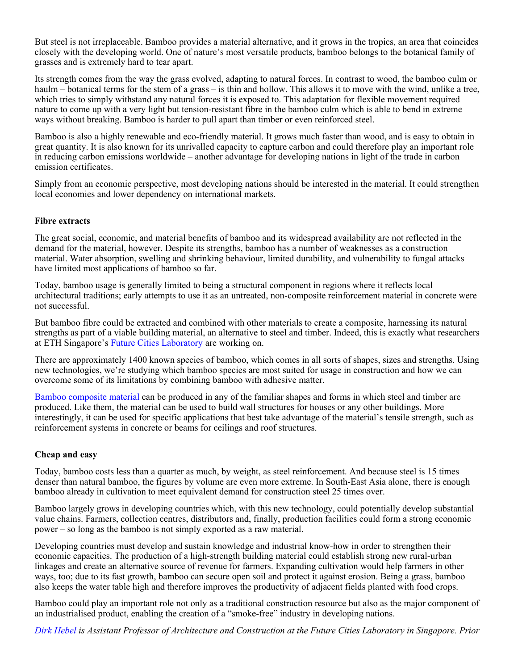But steel is not irreplaceable. Bamboo provides a material alternative, and it grows in the tropics, an area that coincides closely with the developing world. One of nature's most versatile products, bamboo belongs to the botanical family of grasses and is extremely hard to tear apart.

Its strength comes from the way the grass evolved, adapting to natural forces. In contrast to wood, the bamboo culm or haulm – botanical terms for the stem of a grass – is thin and hollow. This allows it to move with the wind, unlike a tree, which tries to simply withstand any natural forces it is exposed to. This adaptation for flexible movement required nature to come up with a very light but tension-resistant fibre in the bamboo culm which is able to bend in extreme ways without breaking. Bamboo is harder to pull apart than timber or even reinforced steel.

Bamboo is also a highly renewable and eco-friendly material. It grows much faster than wood, and is easy to obtain in great quantity. It is also known for its unrivalled capacity to capture carbon and could therefore play an important role in reducing carbon emissions worldwide – another advantage for developing nations in light of the trade in carbon emission certificates.

Simply from an economic perspective, most developing nations should be interested in the material. It could strengthen local economies and lower dependency on international markets.

## **Fibre extracts**

The great social, economic, and material benefits of bamboo and its widespread availability are not reflected in the demand for the material, however. Despite its strengths, bamboo has a number of weaknesses as a construction material. Water absorption, swelling and shrinking behaviour, limited durability, and vulnerability to fungal attacks have limited most applications of bamboo so far.

Today, bamboo usage is generally limited to being a structural component in regions where it reflects local architectural traditions; early attempts to use it as an untreated, non-composite reinforcement material in concrete were not successful.

But bamboo fibre could be extracted and combined with other materials to create a composite, harnessing its natural strengths as part of a viable building material, an alternative to steel and timber. Indeed, this is exactly what researchers at ETH Singapore's [Future Cities Laboratory](http://www.futurecities.ethz.ch/) are working on.

There are approximately 1400 known species of bamboo, which comes in all sorts of shapes, sizes and strengths. Using new technologies, we're studying which bamboo species are most suited for usage in construction and how we can overcome some of its limitations by combining bamboo with adhesive matter.

[Bamboo composite material](http://www.futurecities.ethz.ch/project/bamboo/) can be produced in any of the familiar shapes and forms in which steel and timber are produced. Like them, the material can be used to build wall structures for houses or any other buildings. More interestingly, it can be used for specific applications that best take advantage of the material's tensile strength, such as reinforcement systems in concrete or beams for ceilings and roof structures.

## **Cheap and easy**

Today, bamboo costs less than a quarter as much, by weight, as steel reinforcement. And because steel is 15 times denser than natural bamboo, the figures by volume are even more extreme. In South-East Asia alone, there is enough bamboo already in cultivation to meet equivalent demand for construction steel 25 times over.

Bamboo largely grows in developing countries which, with this new technology, could potentially develop substantial value chains. Farmers, collection centres, distributors and, finally, production facilities could form a strong economic power – so long as the bamboo is not simply exported as a raw material.

Developing countries must develop and sustain knowledge and industrial know-how in order to strengthen their economic capacities. The production of a high-strength building material could establish strong new rural-urban linkages and create an alternative source of revenue for farmers. Expanding cultivation would help farmers in other ways, too; due to its fast growth, bamboo can secure open soil and protect it against erosion. Being a grass, bamboo also keeps the water table high and therefore improves the productivity of adjacent fields planted with food crops.

Bamboo could play an important role not only as a traditional construction resource but also as the major component of an industrialised product, enabling the creation of a "smoke-free" industry in developing nations.

*[Dirk Hebel](http://www.futurecities.ethz.ch/person/asst-prof-dirk-hebel) is Assistant Professor of Architecture and Construction at the Future Cities Laboratory in Singapore. Prior*